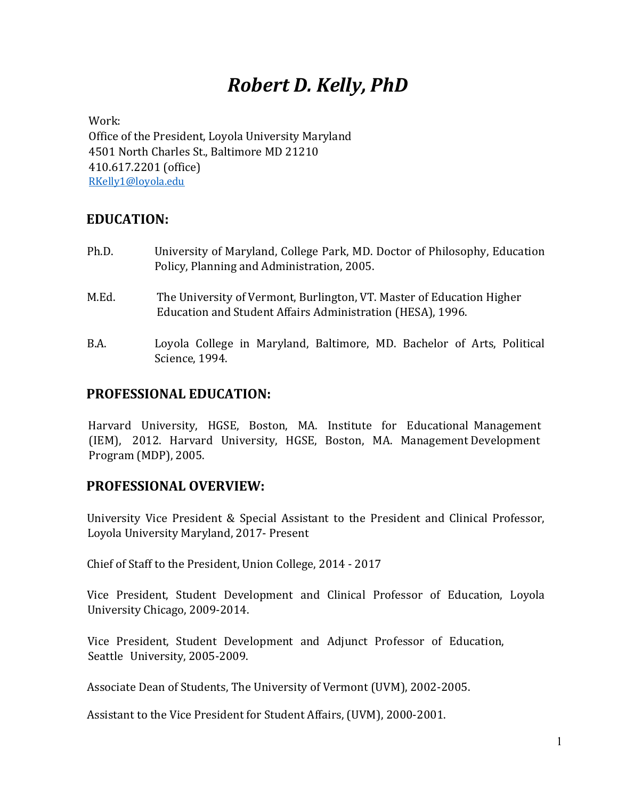# *Robert D. Kelly, PhD*

Work: Office of the President, Loyola University Maryland 4501 North Charles St., Baltimore MD 21210 410.617.2201 (office) RKelly1@loyola.edu

## **EDUCATION:**

- Ph.D. University of Maryland, College Park, MD. Doctor of Philosophy, Education Policy, Planning and Administration, 2005.
- M.Ed. The University of Vermont, Burlington, VT. Master of Education Higher Education and Student Affairs Administration (HESA), 1996.
- B.A. Loyola College in Maryland, Baltimore, MD. Bachelor of Arts, Political Science, 1994.

#### **PROFESSIONAL EDUCATION:**

Harvard University, HGSE, Boston, MA. Institute for Educational Management (IEM), 2012. Harvard University, HGSE, Boston, MA. Management Development Program (MDP), 2005.

#### **PROFESSIONAL OVERVIEW:**

University Vice President & Special Assistant to the President and Clinical Professor, Loyola University Maryland, 2017- Present

Chief of Staff to the President, Union College, 2014 - 2017

Vice President, Student Development and Clinical Professor of Education, Loyola University Chicago, 2009-2014.

Vice President, Student Development and Adjunct Professor of Education, Seattle University, 2005-2009.

Associate Dean of Students, The University of Vermont (UVM), 2002-2005.

Assistant to the Vice President for Student Affairs, (UVM), 2000-2001.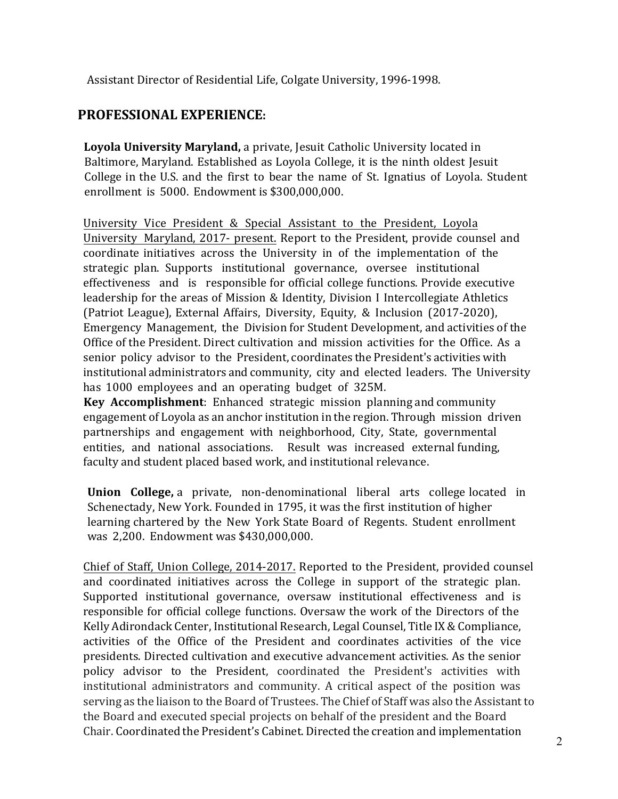Assistant Director of Residential Life, Colgate University, 1996-1998.

#### **PROFESSIONAL EXPERIENCE:**

**Loyola University Maryland,** a private, Jesuit Catholic University located in Baltimore, Maryland. Established as Loyola College, it is the ninth oldest Jesuit College in the U.S. and the first to bear the name of St. Ignatius of Loyola. Student enrollment is 5000. Endowment is \$300,000,000.

University Vice President & Special Assistant to the President, Loyola University Maryland, 2017- present. Report to the President, provide counsel and coordinate initiatives across the University in of the implementation of the strategic plan. Supports institutional governance, oversee institutional effectiveness and is responsible for official college functions. Provide executive leadership for the areas of Mission & Identity, Division I Intercollegiate Athletics (Patriot League), External Affairs, Diversity, Equity, & Inclusion (2017-2020), Emergency Management, the Division for Student Development, and activities of the Office of the President. Direct cultivation and mission activities for the Office. As a senior policy advisor to the President, coordinates the President's activities with institutional administrators and community, city and elected leaders. The University has 1000 employees and an operating budget of 325M.

**Key Accomplishment**: Enhanced strategic mission planning and community engagement of Loyola as an anchor institution in the region. Through mission driven partnerships and engagement with neighborhood, City, State, governmental entities, and national associations. Result was increased external funding, faculty and student placed based work, and institutional relevance.

**[Union Co](http://en.wikipedia.org/wiki/Schenectady%2C_New_York)lle[ge,](http://en.wikipedia.org/wiki/Private_university)** [a private, no](http://en.wikipedia.org/wiki/Private_university)n-denominatio[nal liberal arts college](http://en.wikipedia.org/wiki/Liberal_arts_colleges_in_the_United_States) located in Schenec[tady, New York. Foun](http://en.wikipedia.org/wiki/New_York)ded in 1795, it was the first institution of higher learning chartered by [the New York](http://en.wikipedia.org/wiki/New_York_State_Board_of_Regents) [State](http://en.wikipedia.org/wiki/New_York_State_Board_of_Regents) [Board of Regents. Stud](http://en.wikipedia.org/wiki/New_York_State_Board_of_Regents)ent enrollment was 2,200. Endowment was \$430,000,000.

Chief of Staff, Union College, 2014-2017. Reported to the President, provided counsel and coordinated initiatives across the College in support of the strategic plan. Supported institutional governance, oversaw institutional effectiveness and is responsible for official college functions. Oversaw the work of the Directors of the Kelly Adirondack Center, Institutional Research, Legal Counsel, Title IX & Compliance, activities of the Office of the President and coordinates activities of the vice presidents. Directed cultivation and executive advancement activities. As the senior policy advisor to the President, coordinated the President's activities with institutional administrators and community. A critical aspect of the position was serving as the liaison to the Board of Trustees. The Chief of Staff was also the Assistant to the Board and executed special projects on behalf of the president and the Board Chair. Coordinated the President's Cabinet. Directed the creation and implementation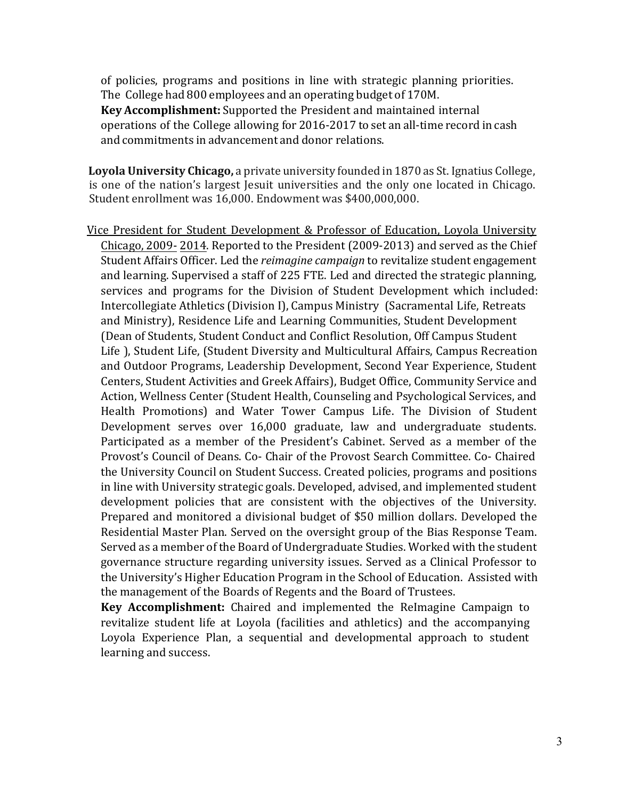of policies, programs and positions in line with strategic planning priorities. The College had 800 employees and an operating budget of 170M. **Key Accomplishment:** Supported the President and maintained internal operations of the College allowing for 2016-2017 to set an all-time record in cash and commitments in advancement and donor relations.

**Loyola University Chicago,** a private university founded in 1870 as St. Ignatius College, is one of the nation's largest Jesuit universities and the only one located in Chicago. Student enrollment was 16,000. Endowment was \$400,000,000.

Vice President for Student Development & Professor of Education, Loyola University Chicago, 2009- 2014. Reported to the President (2009-2013) and served as the Chief Student Affairs Officer. Led the *reimagine campaign* to revitalize student engagement and learning. Supervised a staff of 225 FTE. Led and directed the strategic planning, services and programs for the Division of Student Development which included: Intercollegiate Athletics (Division I), Campus Ministry (Sacramental Life, Retreats and Ministry), Residence Life and Learning Communities, Student Development (Dean of Students, Student Conduct and Conflict Resolution, Off Campus Student Life ), Student Life, (Student Diversity and Multicultural Affairs, Campus Recreation and Outdoor Programs, Leadership Development, Second Year Experience, Student Centers, Student Activities and Greek Affairs), Budget Office, Community Service and Action, Wellness Center (Student Health, Counseling and Psychological Services, and Health Promotions) and Water Tower Campus Life. The Division of Student Development serves over 16,000 graduate, law and undergraduate students. Participated as a member of the President's Cabinet. Served as a member of the Provost's Council of Deans. Co- Chair of the Provost Search Committee. Co- Chaired the University Council on Student Success. Created policies, programs and positions in line with University strategic goals. Developed, advised, and implemented student development policies that are consistent with the objectives of the University. Prepared and monitored a divisional budget of \$50 million dollars. Developed the Residential Master Plan. Served on the oversight group of the Bias Response Team. Served as a member of the Board of Undergraduate Studies. Worked with the student governance structure regarding university issues. Served as a Clinical Professor to the University's Higher Education Program in the School of Education. Assisted with the management of the Boards of Regents and the Board of Trustees.

**Key Accomplishment:** Chaired and implemented the ReImagine Campaign to revitalize student life at Loyola (facilities and athletics) and the accompanying Loyola Experience Plan, a sequential and developmental approach to student learning and success.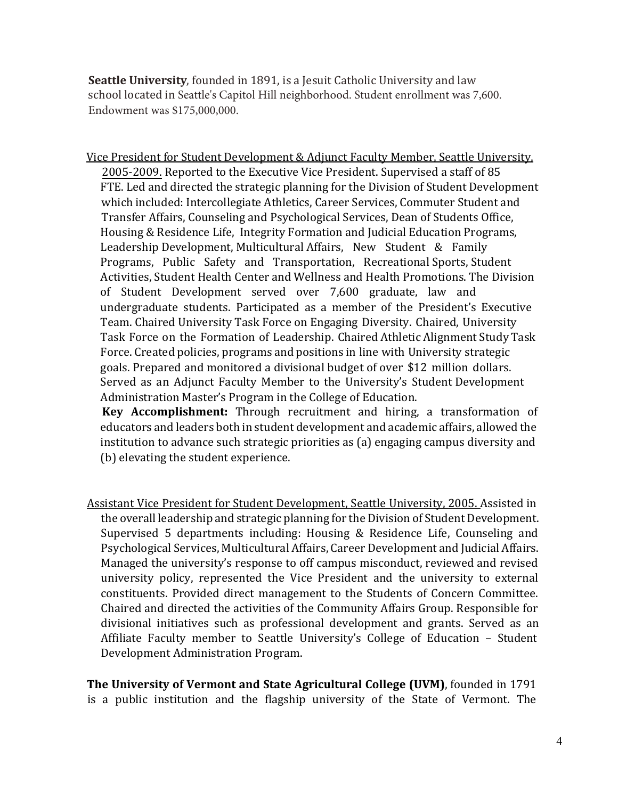**Seattle University**, founded in 1891, is a Jesuit Catholic University and law school located in Seattle's Capitol Hill neighborhood. Student enrollment was 7,600. Endowment was \$175,000,000.

Vice President for Student Development & Adjunct Faculty Member, Seattle University, 2005-2009. Reported to the Executive Vice President. Supervised a staff of 85 FTE. Led and directed the strategic planning for the Division of Student Development which included: Intercollegiate Athletics, Career Services, Commuter Student and Transfer Affairs, Counseling and Psychological Services, Dean of Students Office, Housing & Residence Life, Integrity Formation and Judicial Education Programs, Leadership Development, Multicultural Affairs, New Student & Family Programs, Public Safety and Transportation, Recreational Sports, Student Activities, Student Health Center and Wellness and Health Promotions. The Division of Student Development served over 7,600 graduate, law and undergraduate students. Participated as a member of the President's Executive Team. Chaired University Task Force on Engaging Diversity. Chaired, University Task Force on the Formation of Leadership. Chaired Athletic Alignment Study Task Force. Created policies, programs and positions in line with University strategic goals. Prepared and monitored a divisional budget of over \$12 million dollars. Served as an Adjunct Faculty Member to the University's Student Development Administration Master's Program in the College of Education.

**Key Accomplishment:** Through recruitment and hiring, a transformation of educators and leaders both in student development and academic affairs, allowed the institution to advance such strategic priorities as (a) engaging campus diversity and (b) elevating the student experience.

Assistant Vice President for Student Development, Seattle University, 2005. Assisted in the overall leadership and strategic planning for the Division of Student Development. Supervised 5 departments including: Housing & Residence Life, Counseling and Psychological Services, Multicultural Affairs, Career Development and Judicial Affairs. Managed the university's response to off campus misconduct, reviewed and revised university policy, represented the Vice President and the university to external constituents. Provided direct management to the Students of Concern Committee. Chaired and directed the activities of the Community Affairs Group. Responsible for divisional initiatives such as professional development and grants. Served as an Affiliate Faculty member to Seattle University's College of Education – Student Development Administration Program.

**The University of Vermont and State Agricultural College (UVM)**, founded in 1791 is a public institution and the flagship university of the State of Vermont. The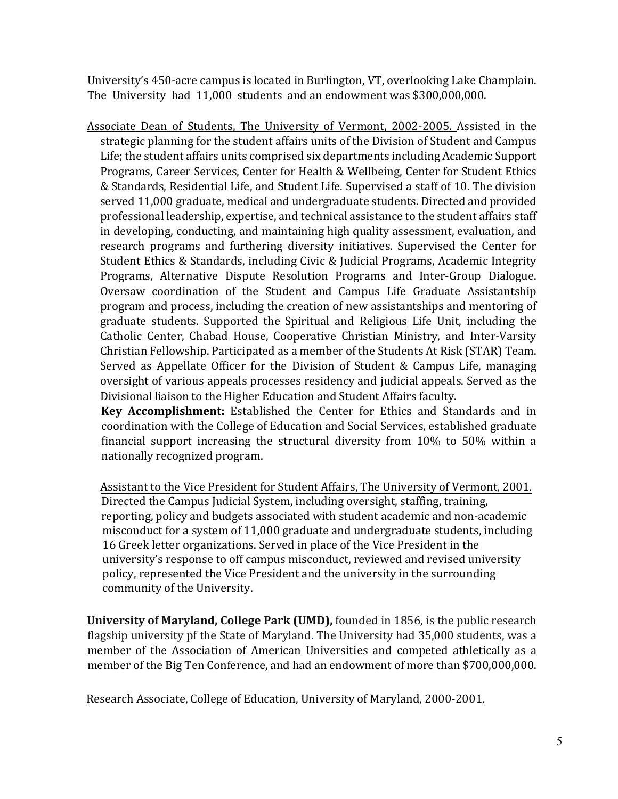University's 450-acre campus is located in Burlington, VT, overlooking Lake Champlain. The University had 11,000 students and an endowment was \$300,000,000.

Associate Dean of Students, The University of Vermont, 2002-2005. Assisted in the strategic planning for the student affairs units of the Division of Student and Campus Life; the student affairs units comprised six departments including Academic Support Programs, Career Services, Center for Health & Wellbeing, Center for Student Ethics & Standards, Residential Life, and Student Life. Supervised a staff of 10. The division served 11,000 graduate, medical and undergraduate students. Directed and provided professional leadership, expertise, and technical assistance to the student affairs staff in developing, conducting, and maintaining high quality assessment, evaluation, and research programs and furthering diversity initiatives. Supervised the Center for Student Ethics & Standards, including Civic & Judicial Programs, Academic Integrity Programs, Alternative Dispute Resolution Programs and Inter-Group Dialogue. Oversaw coordination of the Student and Campus Life Graduate Assistantship program and process, including the creation of new assistantships and mentoring of graduate students. Supported the Spiritual and Religious Life Unit, including the Catholic Center, Chabad House, Cooperative Christian Ministry, and Inter-Varsity Christian Fellowship. Participated as a member of the Students At Risk (STAR) Team. Served as Appellate Officer for the Division of Student & Campus Life, managing oversight of various appeals processes residency and judicial appeals. Served as the Divisional liaison to the Higher Education and Student Affairs faculty.

**Key Accomplishment:** Established the Center for Ethics and Standards and in coordination with the College of Education and Social Services, established graduate financial support increasing the structural diversity from 10% to 50% within a nationally recognized program.

Assistant to the Vice President for Student Affairs, The University of Vermont, 2001. Directed the Campus Judicial System, including oversight, staffing, training, reporting, policy and budgets associated with student academic and non-academic misconduct for a system of 11,000 graduate and undergraduate students, including 16 Greek letter organizations. Served in place of the Vice President in the university's response to off campus misconduct, reviewed and revised university policy, represented the Vice President and the university in the surrounding community of the University.

**University of Maryland, College Park (UMD),** founded in 1856, is the public research flagship university pf the State of Maryland. The University had 35,000 students, was a member of [the Association of American Universities an](http://en.wikipedia.org/wiki/Association_of_American_Universities)d competed athletically as a member of the [Big Ten Conference, and](http://en.wikipedia.org/wiki/Big_Ten_Conference) had an endowment of more than \$700,000,000.

Research Associate, College of Education, University of Maryland, 2000-2001.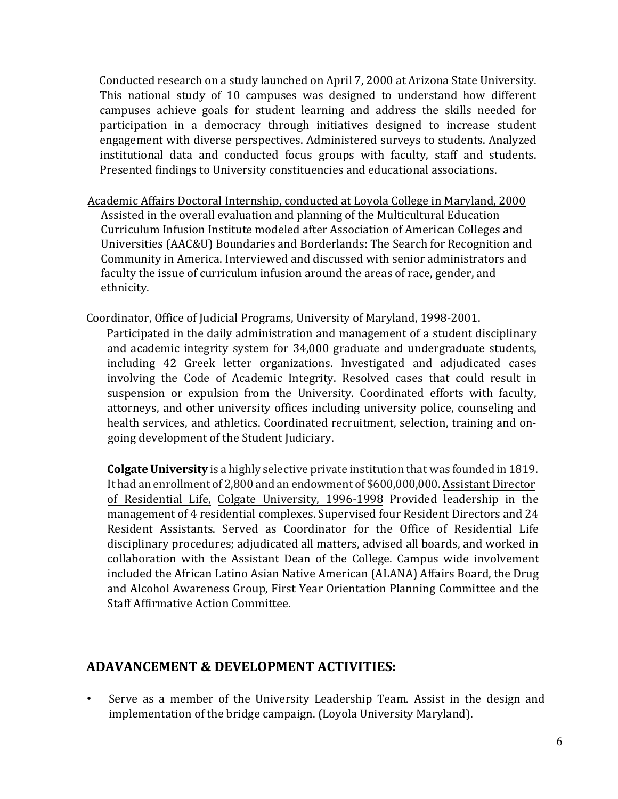Conducted research on a study launched on April 7, 2000 at Arizona State University. This national study of 10 campuses was designed to understand how different campuses achieve goals for student learning and address the skills needed for participation in a democracy through initiatives designed to increase student engagement with diverse perspectives. Administered surveys to students. Analyzed institutional data and conducted focus groups with faculty, staff and students. Presented findings to University constituencies and educational associations.

- Academic Affairs Doctoral Internship, conducted at Loyola College in Maryland, 2000 Assisted in the overall evaluation and planning of the Multicultural Education Curriculum Infusion Institute modeled after Association of American Colleges and Universities (AAC&U) Boundaries and Borderlands: The Search for Recognition and Community in America. Interviewed and discussed with senior administrators and faculty the issue of curriculum infusion around the areas of race, gender, and ethnicity.
- Coordinator, Office of Judicial Programs, University of Maryland, 1998-2001. Participated in the daily administration and management of a student disciplinary and academic integrity system for 34,000 graduate and undergraduate students, including 42 Greek letter organizations. Investigated and adjudicated cases involving the Code of Academic Integrity. Resolved cases that could result in suspension or expulsion from the University. Coordinated efforts with faculty, attorneys, and other university offices including university police, counseling and health services, and athletics. Coordinated recruitment, selection, training and ongoing development of the Student Judiciary.

**Colgate University** is a highly selective private institution that was founded in 1819. It had an enrollment of 2,800 and an endowment of \$600,000,000. Assistant Director of Residential Life, Colgate University, 1996-1998 Provided leadership in the management of 4 residential complexes. Supervised four Resident Directors and 24 Resident Assistants. Served as Coordinator for the Office of Residential Life disciplinary procedures; adjudicated all matters, advised all boards, and worked in collaboration with the Assistant Dean of the College. Campus wide involvement included the African Latino Asian Native American (ALANA) Affairs Board, the Drug and Alcohol Awareness Group, First Year Orientation Planning Committee and the Staff Affirmative Action Committee.

## **ADAVANCEMENT & DEVELOPMENT ACTIVITIES:**

• Serve as a member of the University Leadership Team. Assist in the design and implementation of the bridge campaign. (Loyola University Maryland).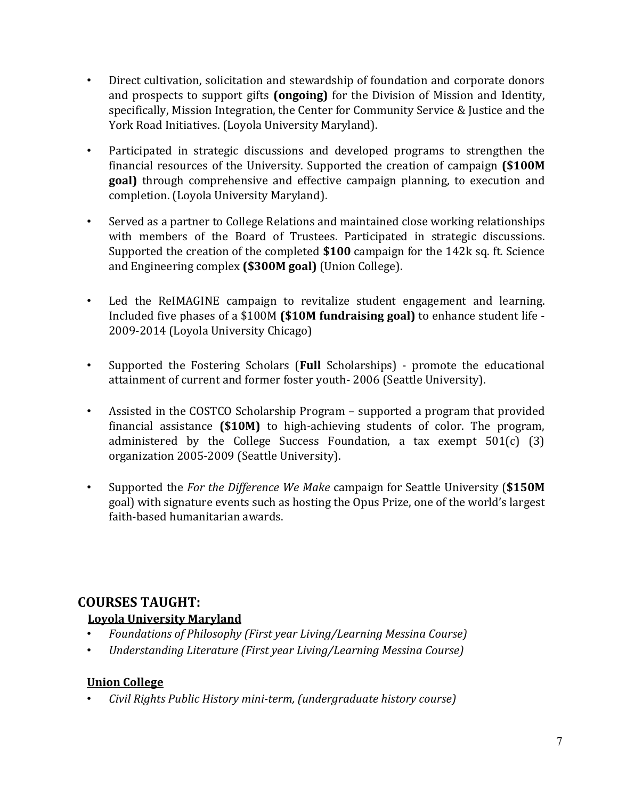- Direct cultivation, solicitation and stewardship of foundation and corporate donors and prospects to support gifts **(ongoing)** for the Division of Mission and Identity, specifically, Mission Integration, the Center for Community Service & Justice and the York Road Initiatives. (Loyola University Maryland).
- Participated in strategic discussions and developed programs to strengthen the financial resources of the University. Supported the creation of campaign **(\$100M goal)** through comprehensive and effective campaign planning, to execution and completion. (Loyola University Maryland).
- Served as a partner to College Relations and maintained close working relationships with members of the Board of Trustees. Participated in strategic discussions. Supported the creation of the completed **\$100** campaign for the 142k sq. ft. Science and Engineering complex **(\$300M goal)** (Union College).
- Led the ReIMAGINE campaign to revitalize student engagement and learning. Included five phases of a \$100M **(\$10M fundraising goal)** to enhance student life - 2009-2014 (Loyola University Chicago)
- Supported the Fostering Scholars (**Full** Scholarships) promote the educational attainment of current and former foster youth- 2006 (Seattle University).
- Assisted in the COSTCO Scholarship Program supported a program that provided financial assistance **(\$10M)** to high-achieving students of color. The program, administered by the College Success Foundation, a tax exempt 501(c) (3) organization 2005-2009 (Seattle University).
- Supported the *For the Difference We Make* campaign for Seattle University (**\$150M** goal) with signature events such as hosting the Opus Prize, one of the world's largest faith-based humanitarian awards.

## **COURSES TAUGHT:**

## **Loyola University Maryland**

- *Foundations of Philosophy (First year Living/Learning Messina Course)*
- *Understanding Literature (First year Living/Learning Messina Course)*

#### **Union College**

• *Civil Rights Public History mini-term, (undergraduate history course)*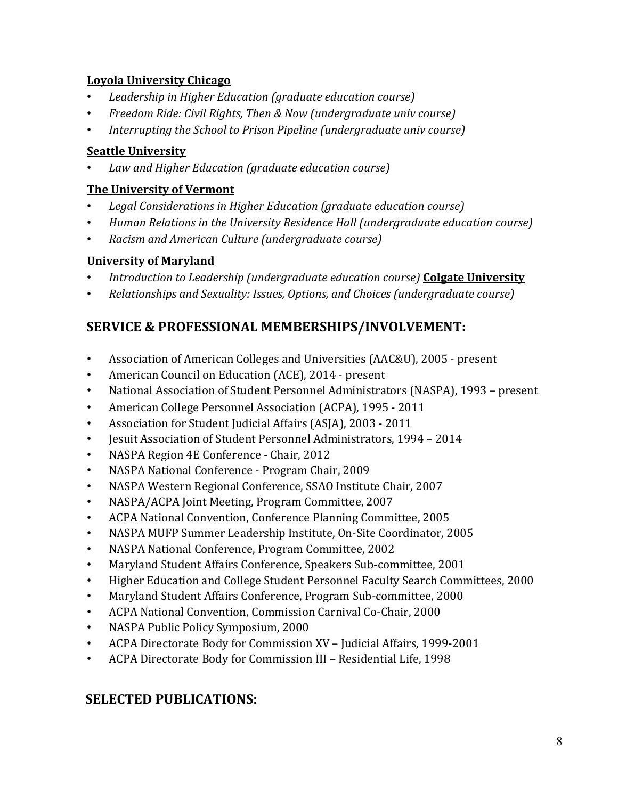#### **Loyola University Chicago**

- *Leadership in Higher Education (graduate education course)*
- *Freedom Ride: Civil Rights, Then & Now (undergraduate univ course)*
- *Interrupting the School to Prison Pipeline (undergraduate univ course)*

#### **Seattle University**

• *Law and Higher Education (graduate education course)*

#### **The University of Vermont**

- *Legal Considerations in Higher Education (graduate education course)*
- *Human Relations in the University Residence Hall (undergraduate education course)*
- *Racism and American Culture (undergraduate course)*

## **University of Maryland**

- *Introduction to Leadership (undergraduate education course)* **Colgate University**
- *Relationships and Sexuality: Issues, Options, and Choices (undergraduate course)*

# **SERVICE & PROFESSIONAL MEMBERSHIPS/INVOLVEMENT:**

- Association of American Colleges and Universities (AAC&U), 2005 present
- American Council on Education (ACE), 2014 present
- National Association of Student Personnel Administrators (NASPA), 1993 present
- American College Personnel Association (ACPA), 1995 2011
- Association for Student Judicial Affairs (ASJA), 2003 2011
- Jesuit Association of Student Personnel Administrators, 1994 2014
- NASPA Region 4E Conference Chair, 2012
- NASPA National Conference Program Chair, 2009
- NASPA Western Regional Conference, SSAO Institute Chair, 2007
- NASPA/ACPA Joint Meeting, Program Committee, 2007
- ACPA National Convention, Conference Planning Committee, 2005
- NASPA MUFP Summer Leadership Institute, On-Site Coordinator, 2005
- NASPA National Conference, Program Committee, 2002
- Maryland Student Affairs Conference, Speakers Sub-committee, 2001
- Higher Education and College Student Personnel Faculty Search Committees, 2000
- Maryland Student Affairs Conference, Program Sub-committee, 2000
- ACPA National Convention, Commission Carnival Co-Chair, 2000
- NASPA Public Policy Symposium, 2000
- ACPA Directorate Body for Commission XV Judicial Affairs, 1999-2001
- ACPA Directorate Body for Commission III Residential Life, 1998

## **SELECTED PUBLICATIONS:**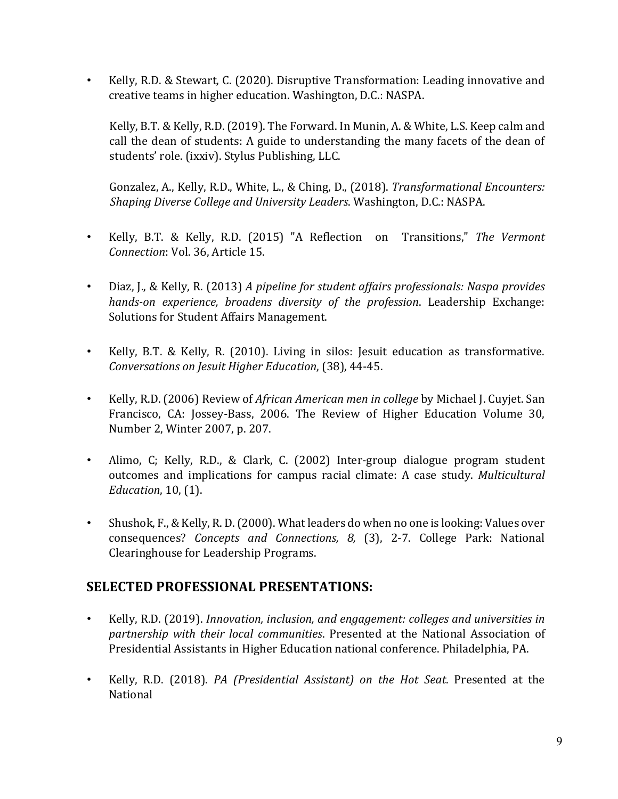• Kelly, R.D. & Stewart, C. (2020). Disruptive Transformation: Leading innovative and creative teams in higher education. Washington, D.C.: NASPA.

Kelly, B.T. & Kelly, R.D. (2019). The Forward. In Munin, A. & White, L.S. Keep calm and call the dean of students: A guide to understanding the many facets of the dean of students' role. (ixxiv). Stylus Publishing, LLC.

Gonzalez, A., Kelly, R.D., White, L., & Ching, D., (2018). *Transformational Encounters: Shaping Diverse College and University Leaders*. Washington, D.C.: NASPA.

- Kelly, B.T. & Kelly, R.D. (2015) "A Reflection on Transitions," *The Vermont Connection*: Vol. 36, Article 15.
- Diaz, J., & Kelly, R. (2013) *A pipeline for student affairs professionals: Naspa provides hands-on experience, broadens diversity of the profession*. Leadership Exchange: Solutions for Student Affairs Management.
- Kelly, B.T. & Kelly, R. (2010). Living in silos: Jesuit education as transformative. *Conversations on Jesuit Higher Education*, (38), 44-45.
- Kelly, R.D. (2006) Review of *African American men in college* by Michael J. Cuyjet. San Francisco, CA: Jossey-Bass, 2006. The Review of Higher Education Volume 30, Number 2, Winter 2007, p. 207.
- Alimo, C; Kelly, R.D., & Clark, C. (2002) Inter-group dialogue program student outcomes and implications for campus racial climate: A case study. *Multicultural Education*, 10, (1).
- Shushok, F., & Kelly, R. D. (2000). What leaders do when no one is looking: Values over consequences? *Concepts and Connections, 8,* (3), 2-7. College Park: National Clearinghouse for Leadership Programs.

## **SELECTED PROFESSIONAL PRESENTATIONS:**

- Kelly, R.D. (2019). *Innovation, inclusion, and engagement: colleges and universities in partnership with their local communities*. Presented at the National Association of Presidential Assistants in Higher Education national conference. Philadelphia, PA.
- Kelly, R.D. (2018). *PA (Presidential Assistant) on the Hot Seat*. Presented at the National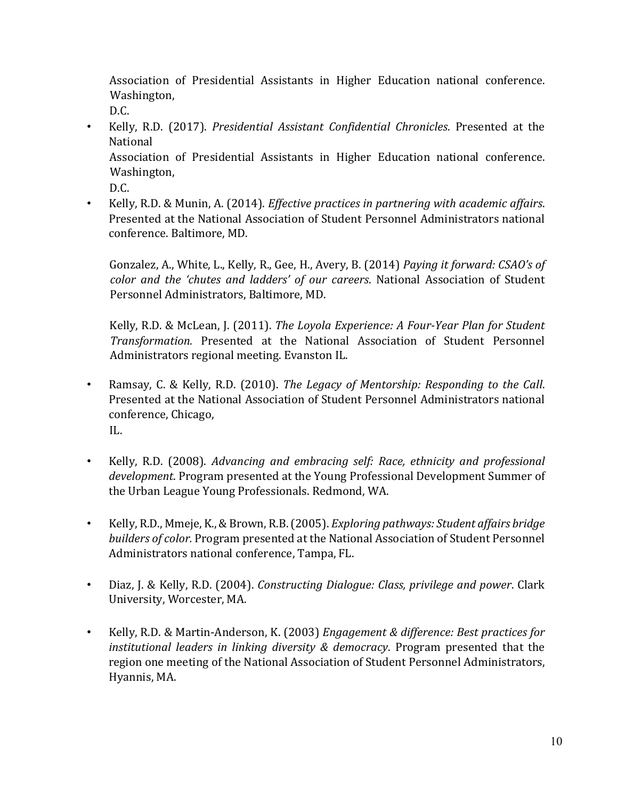Association of Presidential Assistants in Higher Education national conference. Washington,

D.C.

• Kelly, R.D. (2017). *Presidential Assistant Confidential Chronicles*. Presented at the National

Association of Presidential Assistants in Higher Education national conference. Washington,

D.C.

• Kelly, R.D. & Munin, A. (2014). *Effective practices in partnering with academic affairs*. Presented at the National Association of Student Personnel Administrators national conference. Baltimore, MD.

Gonzalez, A., White, L., Kelly, R., Gee, H., Avery, B. (2014) *Paying it forward: CSAO's of color and the 'chutes and ladders' of our careers*. National Association of Student Personnel Administrators, Baltimore, MD.

Kelly, R.D. & McLean, J. (2011). *The Loyola Experience: A Four-Year Plan for Student Transformation.* Presented at the National Association of Student Personnel Administrators regional meeting. Evanston IL.

- Ramsay, C. & Kelly, R.D. (2010). *The Legacy of Mentorship: Responding to the Call*. Presented at the National Association of Student Personnel Administrators national conference, Chicago, IL.
- Kelly, R.D. (2008). *Advancing and embracing self: Race, ethnicity and professional development*. Program presented at the Young Professional Development Summer of the Urban League Young Professionals. Redmond, WA.
- Kelly, R.D., Mmeje, K., & Brown, R.B. (2005). *Exploring pathways: Student affairs bridge builders of color.* Program presented at the National Association of Student Personnel Administrators national conference, Tampa, FL.
- Diaz, J. & Kelly, R.D. (2004). *Constructing Dialogue: Class, privilege and power*. Clark University, Worcester, MA.
- Kelly, R.D. & Martin-Anderson, K. (2003) *Engagement & difference: Best practices for institutional leaders in linking diversity & democracy*. Program presented that the region one meeting of the National Association of Student Personnel Administrators, Hyannis, MA.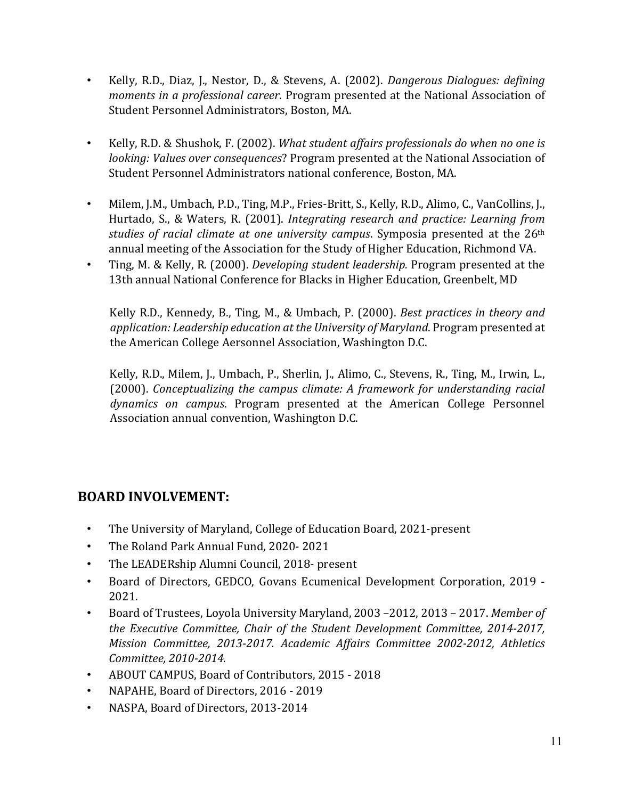- Kelly, R.D., Diaz, J., Nestor, D., & Stevens, A. (2002). *Dangerous Dialogues: defining moments in a professional career*. Program presented at the National Association of Student Personnel Administrators, Boston, MA.
- Kelly, R.D. & Shushok, F. (2002). *What student affairs professionals do when no one is looking: Values over consequences*? Program presented at the National Association of Student Personnel Administrators national conference, Boston, MA.
- Milem, J.M., Umbach, P.D., Ting, M.P., Fries-Britt, S., Kelly, R.D., Alimo, C., VanCollins, J., Hurtado, S., & Waters, R. (2001). *Integrating research and practice: Learning from studies of racial climate at one university campus*. Symposia presented at the 26th annual meeting of the Association for the Study of Higher Education, Richmond VA.
- Ting, M. & Kelly, R. (2000). *Developing student leadership.* Program presented at the 13th annual National Conference for Blacks in Higher Education, Greenbelt, MD

Kelly R.D., Kennedy, B., Ting, M., & Umbach, P. (2000). *Best practices in theory and application: Leadership education at the University of Maryland*. Program presented at the American College Aersonnel Association, Washington D.C.

Kelly, R.D., Milem, J., Umbach, P., Sherlin, J., Alimo, C., Stevens, R., Ting, M., Irwin, L., (2000). *Conceptualizing the campus climate: A framework for understanding racial dynamics on campus*. Program presented at the American College Personnel Association annual convention, Washington D.C.

## **BOARD INVOLVEMENT:**

- The University of Maryland, College of Education Board, 2021-present
- The Roland Park Annual Fund, 2020- 2021
- The LEADERship Alumni Council, 2018- present
- Board of Directors, GEDCO, Govans Ecumenical Development Corporation, 2019 2021.
- Board of Trustees, Loyola University Maryland, 2003 –2012, 2013 2017. *Member of the Executive Committee, Chair of the Student Development Committee, 2014-2017, Mission Committee, 2013-2017. Academic Affairs Committee 2002-2012, Athletics Committee, 2010-2014.*
- ABOUT CAMPUS, Board of Contributors, 2015 2018
- NAPAHE, Board of Directors, 2016 2019
- NASPA, Board of Directors, 2013-2014